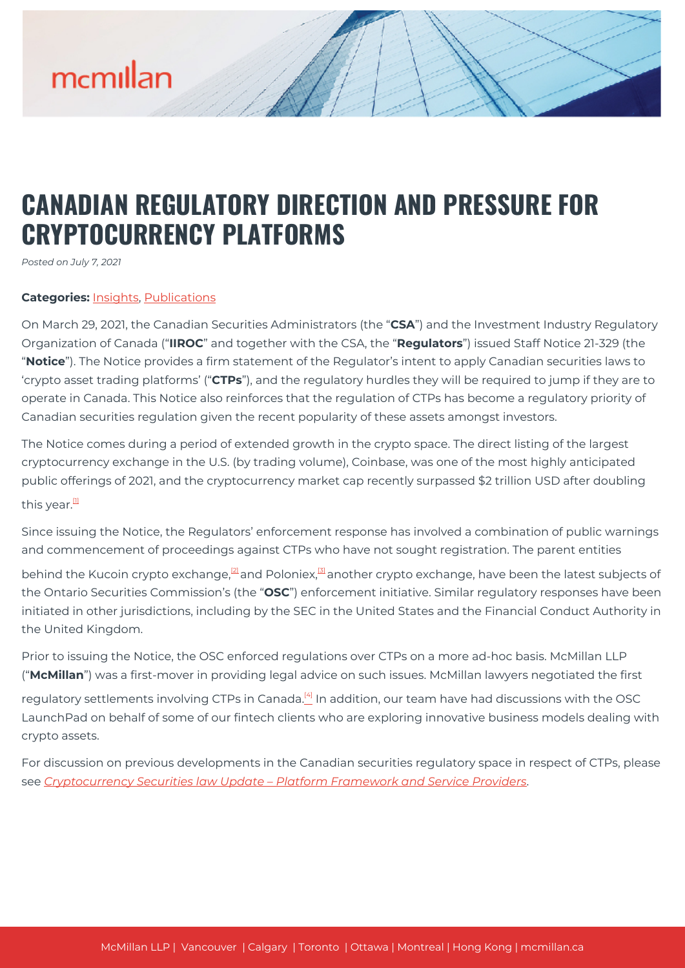# **CANADIAN REGULATORY DIRECTION AND PRESSURE FOR CRYPTOCURRENCY PLATFORMS**

*Posted on July 7, 2021*

### **Categories:** [Insights,](https://mcmillan.ca/insights/) [Publications](https://mcmillan.ca/insights/publications/)

On March 29, 2021, the Canadian Securities Administrators (the "**CSA**") and the Investment Industry Regulatory Organization of Canada ("**IIROC**" and together with the CSA, the "**Regulators**") issued Staff Notice 21-329 (the "**Notice**"). The Notice provides a firm statement of the Regulator's intent to apply Canadian securities laws to 'crypto asset trading platforms' ("**CTPs**"), and the regulatory hurdles they will be required to jump if they are to operate in Canada. This Notice also reinforces that the regulation of CTPs has become a regulatory priority of Canadian securities regulation given the recent popularity of these assets amongst investors.

The Notice comes during a period of extended growth in the crypto space. The direct listing of the largest cryptocurrency exchange in the U.S. (by trading volume), Coinbase, was one of the most highly anticipated public offerings of 2021, and the cryptocurrency market cap recently surpassed \$2 trillion USD after doubling

this year. $<sup>11</sup>$ </sup>

Since issuing the Notice, the Regulators' enforcement response has involved a combination of public warnings and commencement of proceedings against CTPs who have not sought registration. The parent entities

behind the Kucoin crypto exchange,<sup>[\[2\]](#page--1-0)</sup> and Poloniex,<sup>[\[3\]](#page--1-0)</sup> another crypto exchange, have been the latest subjects of the Ontario Securities Commission's (the "**OSC**") enforcement initiative. Similar regulatory responses have been initiated in other jurisdictions, including by the SEC in the United States and the Financial Conduct Authority in the United Kingdom.

Prior to issuing the Notice, the OSC enforced regulations over CTPs on a more ad-hoc basis. McMillan LLP ("**McMillan**") was a first-mover in providing legal advice on such issues. McMillan lawyers negotiated the first

regulatory settlements involving CTPs in Canada.<sup>[\[4\]](#page--1-0)</sup> In addition, our team have had discussions with the OSC LaunchPad on behalf of some of our fintech clients who are exploring innovative business models dealing with crypto assets.

For discussion on previous developments in the Canadian securities regulatory space in respect of CTPs, please see *[Cryptocurrency Securities law Update – Platform Framework and Service Providers](https://mcmillan.ca/insights/cryptocurrency-securities-law-update-platform-framework-and-service-providers/)*.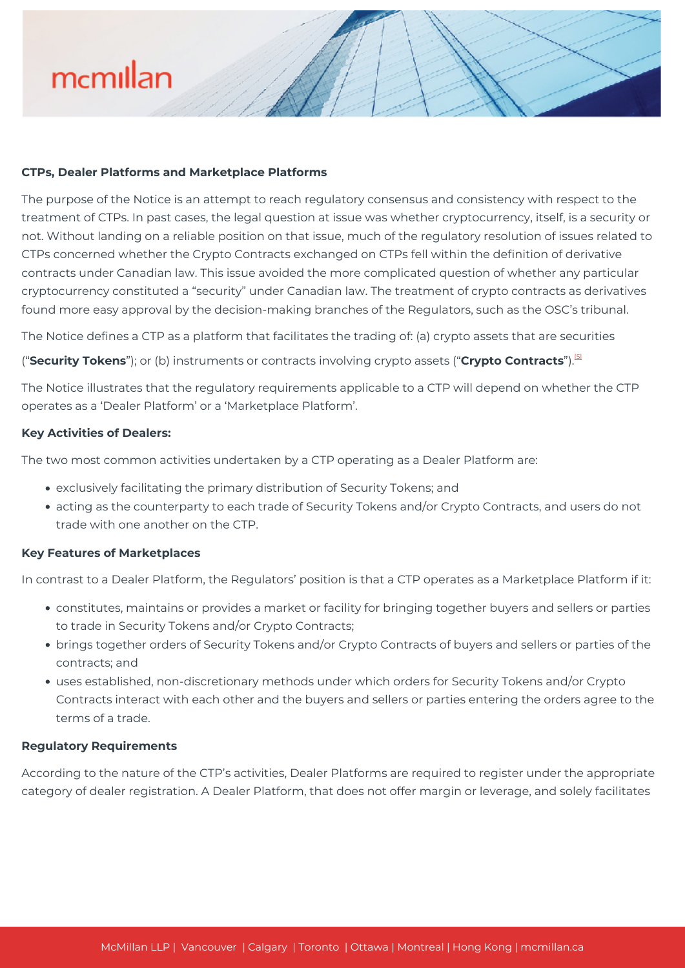#### **CTPs, Dealer Platforms and Marketplace Platforms**

The purpose of the Notice is an attempt to reach regulatory consensus and consistency with respect to the treatment of CTPs. In past cases, the legal question at issue was whether cryptocurrency, itself, is a security or not. Without landing on a reliable position on that issue, much of the regulatory resolution of issues related to CTPs concerned whether the Crypto Contracts exchanged on CTPs fell within the definition of derivative contracts under Canadian law. This issue avoided the more complicated question of whether any particular cryptocurrency constituted a "security" under Canadian law. The treatment of crypto contracts as derivatives found more easy approval by the decision-making branches of the Regulators, such as the OSC's tribunal.

The Notice defines a CTP as a platform that facilitates the trading of: (a) crypto assets that are securities

("**Security Tokens**"); or (b) instruments or contracts involving crypto assets ("**Crypto Contracts**").[\[5\]](#page--1-0)

The Notice illustrates that the regulatory requirements applicable to a CTP will depend on whether the CTP operates as a 'Dealer Platform' or a 'Marketplace Platform'.

### **Key Activities of Dealers:**

The two most common activities undertaken by a CTP operating as a Dealer Platform are:

- exclusively facilitating the primary distribution of Security Tokens; and
- acting as the counterparty to each trade of Security Tokens and/or Crypto Contracts, and users do not trade with one another on the CTP.

#### **Key Features of Marketplaces**

In contrast to a Dealer Platform, the Regulators' position is that a CTP operates as a Marketplace Platform if it:

- constitutes, maintains or provides a market or facility for bringing together buyers and sellers or parties to trade in Security Tokens and/or Crypto Contracts;
- brings together orders of Security Tokens and/or Crypto Contracts of buyers and sellers or parties of the contracts; and
- uses established, non-discretionary methods under which orders for Security Tokens and/or Crypto Contracts interact with each other and the buyers and sellers or parties entering the orders agree to the terms of a trade.

#### **Regulatory Requirements**

According to the nature of the CTP's activities, Dealer Platforms are required to register under the appropriate category of dealer registration. A Dealer Platform, that does not offer margin or leverage, and solely facilitates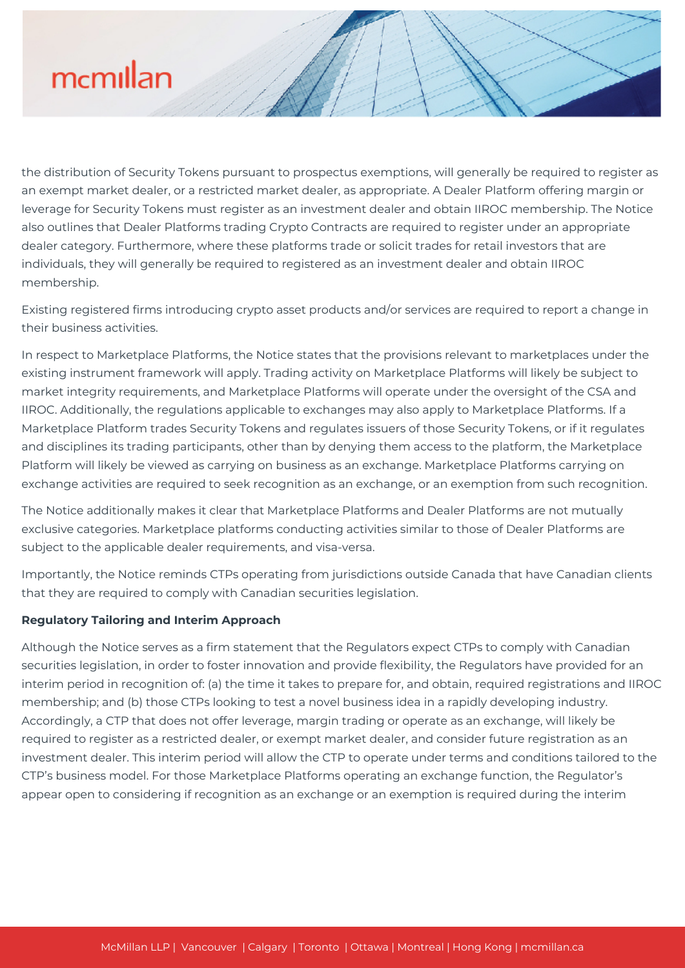the distribution of Security Tokens pursuant to prospectus exemptions, will generally be required to register as an exempt market dealer, or a restricted market dealer, as appropriate. A Dealer Platform offering margin or leverage for Security Tokens must register as an investment dealer and obtain IIROC membership. The Notice also outlines that Dealer Platforms trading Crypto Contracts are required to register under an appropriate dealer category. Furthermore, where these platforms trade or solicit trades for retail investors that are individuals, they will generally be required to registered as an investment dealer and obtain IIROC membership.

Existing registered firms introducing crypto asset products and/or services are required to report a change in their business activities.

In respect to Marketplace Platforms, the Notice states that the provisions relevant to marketplaces under the existing instrument framework will apply. Trading activity on Marketplace Platforms will likely be subject to market integrity requirements, and Marketplace Platforms will operate under the oversight of the CSA and IIROC. Additionally, the regulations applicable to exchanges may also apply to Marketplace Platforms. If a Marketplace Platform trades Security Tokens and regulates issuers of those Security Tokens, or if it regulates and disciplines its trading participants, other than by denying them access to the platform, the Marketplace Platform will likely be viewed as carrying on business as an exchange. Marketplace Platforms carrying on exchange activities are required to seek recognition as an exchange, or an exemption from such recognition.

The Notice additionally makes it clear that Marketplace Platforms and Dealer Platforms are not mutually exclusive categories. Marketplace platforms conducting activities similar to those of Dealer Platforms are subject to the applicable dealer requirements, and visa-versa.

Importantly, the Notice reminds CTPs operating from jurisdictions outside Canada that have Canadian clients that they are required to comply with Canadian securities legislation.

## **Regulatory Tailoring and Interim Approach**

Although the Notice serves as a firm statement that the Regulators expect CTPs to comply with Canadian securities legislation, in order to foster innovation and provide flexibility, the Regulators have provided for an interim period in recognition of: (a) the time it takes to prepare for, and obtain, required registrations and IIROC membership; and (b) those CTPs looking to test a novel business idea in a rapidly developing industry. Accordingly, a CTP that does not offer leverage, margin trading or operate as an exchange, will likely be required to register as a restricted dealer, or exempt market dealer, and consider future registration as an investment dealer. This interim period will allow the CTP to operate under terms and conditions tailored to the CTP's business model. For those Marketplace Platforms operating an exchange function, the Regulator's appear open to considering if recognition as an exchange or an exemption is required during the interim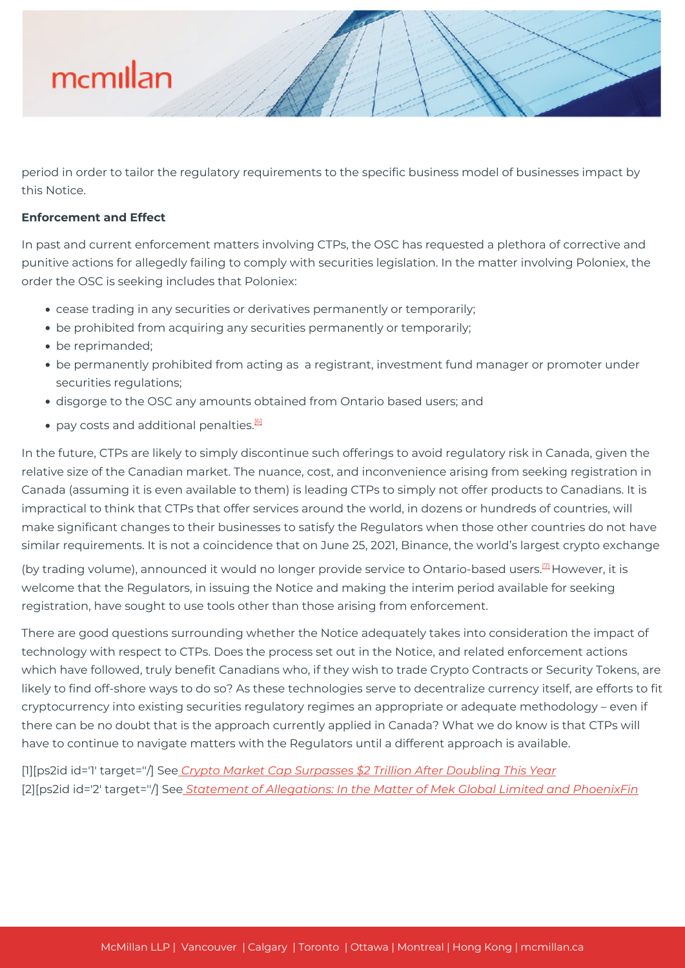

period in order to tailor the regulatory requirements to the specific business model of businesses impact by this Notice.

#### **Enforcement and Effect**

In past and current enforcement matters involving CTPs, the OSC has requested a plethora of corrective and punitive actions for allegedly failing to comply with securities legislation. In the matter involving Poloniex, the order the OSC is seeking includes that Poloniex:

- cease trading in any securities or derivatives permanently or temporarily;
- be prohibited from acquiring any securities permanently or temporarily;
- be reprimanded:
- be permanently prohibited from acting as a registrant, investment fund manager or promoter under securities regulations;
- disgorge to the OSC any amounts obtained from Ontario based users; and
- $\bullet$  pay costs and additional penalties.<sup>[\[6\]](#page--1-0)</sup>

In the future, CTPs are likely to simply discontinue such offerings to avoid regulatory risk in Canada, given the relative size of the Canadian market. The nuance, cost, and inconvenience arising from seeking registration in Canada (assuming it is even available to them) is leading CTPs to simply not offer products to Canadians. It is impractical to think that CTPs that offer services around the world, in dozens or hundreds of countries, will make significant changes to their businesses to satisfy the Regulators when those other countries do not have similar requirements. It is not a coincidence that on June 25, 2021, Binance, the world's largest crypto exchange

(by trading volume), announced it would no longer provide service to Ontario-based users.<sup>[\[7\]](#page--1-0)</sup> However, it is welcome that the Regulators, in issuing the Notice and making the interim period available for seeking registration, have sought to use tools other than those arising from enforcement.

There are good questions surrounding whether the Notice adequately takes into consideration the impact of technology with respect to CTPs. Does the process set out in the Notice, and related enforcement actions which have followed, truly benefit Canadians who, if they wish to trade Crypto Contracts or Security Tokens, are likely to find off-shore ways to do so? As these technologies serve to decentralize currency itself, are efforts to fit cryptocurrency into existing securities regulatory regimes an appropriate or adequate methodology – even if there can be no doubt that is the approach currently applied in Canada? What we do know is that CTPs will have to continue to navigate matters with the Regulators until a different approach is available.

[1][ps2id id='1' target=''/] See *[Crypto Market Cap Surpasses \\$2 Trillion After Doubling This Year](https://www.bloomberg.com/news/articles/2021-04-05/crypto-market-cap-doubles-past-2-trillion-after-two-month-surge)* [2][ps2id id='2' target=''/] See *[Statement of Allegations: In the Matter of Mek Global Limited and PhoenixFin](https://www.osc.ca/en/tribunal/tribunal-proceedings/mek-global-limited-re/document/1.)*